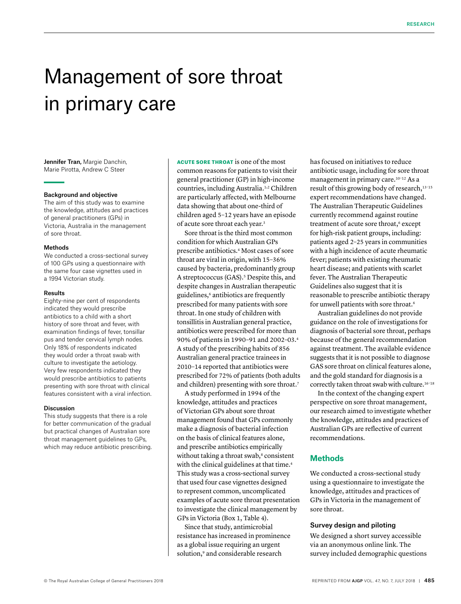# Management of sore throat in primary care

Jennifer Tran, Margie Danchin, Marie Pirotta, Andrew C Steer

#### Background and objective

The aim of this study was to examine the knowledge, attitudes and practices of general practitioners (GPs) in Victoria, Australia in the management of sore throat.

### Methods

We conducted a cross-sectional survey of 100 GPs using a questionnaire with the same four case vignettes used in a 1994 Victorian study.

#### Results

Eighty-nine per cent of respondents indicated they would prescribe antibiotics to a child with a short history of sore throat and fever, with examination findings of fever, tonsillar pus and tender cervical lymph nodes. Only 18% of respondents indicated they would order a throat swab with culture to investigate the aetiology. Very few respondents indicated they would prescribe antibiotics to patients presenting with sore throat with clinical features consistent with a viral infection.

#### Discussion

This study suggests that there is a role for better communication of the gradual but practical changes of Australian sore throat management guidelines to GPs. which may reduce antibiotic prescribing. ACUTE SORE THROAT is one of the most common reasons for patients to visit their general practitioner (GP) in high-income countries, including Australia.1,2 Children are particularly affected, with Melbourne data showing that about one-third of children aged 5–12 years have an episode of acute sore throat each year.<sup>3</sup>

Sore throat is the third most common condition for which Australian GPs prescribe antibiotics.4 Most cases of sore throat are viral in origin, with 15–36% caused by bacteria, predominantly group A streptococcus (GAS).<sup>5</sup> Despite this, and despite changes in Australian therapeutic guidelines,<sup>6</sup> antibiotics are frequently prescribed for many patients with sore throat. In one study of children with tonsillitis in Australian general practice, antibiotics were prescribed for more than 90% of patients in 1990–91 and 2002–03. 4 A study of the prescribing habits of 856 Australian general practice trainees in 2010–14 reported that antibiotics were prescribed for 72% of patients (both adults and children) presenting with sore throat.7

A study performed in 1994 of the knowledge, attitudes and practices of Victorian GPs about sore throat management found that GPs commonly make a diagnosis of bacterial infection on the basis of clinical features alone, and prescribe antibiotics empirically without taking a throat swab,<sup>8</sup> consistent with the clinical guidelines at that time.<sup>4</sup> This study was a cross-sectional survey that used four case vignettes designed to represent common, uncomplicated examples of acute sore throat presentation to investigate the clinical management by GPs in Victoria (Box 1, Table 4).

Since that study, antimicrobial resistance has increased in prominence as a global issue requiring an urgent solution,<sup>9</sup> and considerable research

has focused on initiatives to reduce antibiotic usage, including for sore throat management in primary care.<sup>10-12</sup> As a result of this growing body of research,<sup>13-15</sup> expert recommendations have changed. The Australian Therapeutic Guidelines currently recommend against routine treatment of acute sore throat,<sup>6</sup> except for high-risk patient groups, including: patients aged 2–25 years in communities with a high incidence of acute rheumatic fever; patients with existing rheumatic heart disease; and patients with scarlet fever. The Australian Therapeutic Guidelines also suggest that it is reasonable to prescribe antibiotic therapy for unwell patients with sore throat.<sup>6</sup>

Australian guidelines do not provide guidance on the role of investigations for diagnosis of bacterial sore throat, perhaps because of the general recommendation against treatment. The available evidence suggests that it is not possible to diagnose GAS sore throat on clinical features alone, and the gold standard for diagnosis is a correctly taken throat swab with culture.<sup>16-18</sup>

In the context of the changing expert perspective on sore throat management, our research aimed to investigate whether the knowledge, attitudes and practices of Australian GPs are reflective of current recommendations.

## **Methods**

We conducted a cross-sectional study using a questionnaire to investigate the knowledge, attitudes and practices of GPs in Victoria in the management of sore throat.

## Survey design and piloting

We designed a short survey accessible via an anonymous online link. The survey included demographic questions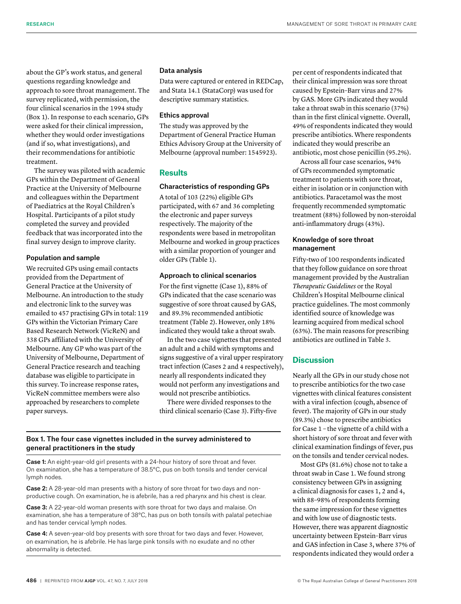about the GP's work status, and general questions regarding knowledge and approach to sore throat management. The survey replicated, with permission, the four clinical scenarios in the 1994 study (Box 1). In response to each scenario, GPs were asked for their clinical impression, whether they would order investigations (and if so, what investigations), and their recommendations for antibiotic treatment.

The survey was piloted with academic GPs within the Department of General Practice at the University of Melbourne and colleagues within the Department of Paediatrics at the Royal Children's Hospital. Participants of a pilot study completed the survey and provided feedback that was incorporated into the final survey design to improve clarity.

## Population and sample

We recruited GPs using email contacts provided from the Department of General Practice at the University of Melbourne. An introduction to the study and electronic link to the survey was emailed to 457 practising GPs in total: 119 GPs within the Victorian Primary Care Based Research Network (VicReN) and 338 GPs affiliated with the University of Melbourne. Any GP who was part of the University of Melbourne, Department of General Practice research and teaching database was eligible to participate in this survey. To increase response rates, VicReN committee members were also approached by researchers to complete paper surveys.

## Data analysis

Data were captured or entered in REDCap, and Stata 14.1 (StataCorp) was used for descriptive summary statistics.

#### Ethics approval

The study was approved by the Department of General Practice Human Ethics Advisory Group at the University of Melbourne (approval number: 1545923).

## **Results**

## Characteristics of responding GPs

A total of 103 (22%) eligible GPs participated, with 67 and 36 completing the electronic and paper surveys respectively. The majority of the respondents were based in metropolitan Melbourne and worked in group practices with a similar proportion of younger and older GPs (Table 1).

## Approach to clinical scenarios

For the first vignette (Case 1), 88% of GPs indicated that the case scenario was suggestive of sore throat caused by GAS, and 89.3% recommended antibiotic treatment (Table 2). However, only 18% indicated they would take a throat swab.

In the two case vignettes that presented an adult and a child with symptoms and signs suggestive of a viral upper respiratory tract infection (Cases 2 and 4 respectively), nearly all respondents indicated they would not perform any investigations and would not prescribe antibiotics.

There were divided responses to the third clinical scenario (Case 3). Fifty-five

## Box 1. The four case vignettes included in the survey administered to general practitioners in the study

Case 1: An eight-year-old girl presents with a 24-hour history of sore throat and fever. On examination, she has a temperature of 38.5°C, pus on both tonsils and tender cervical lymph nodes.

**Case 2:** A 28-year-old man presents with a history of sore throat for two days and nonproductive cough. On examination, he is afebrile, has a red pharynx and his chest is clear.

Case 3: A 22-year-old woman presents with sore throat for two days and malaise. On examination, she has a temperature of 38°C, has pus on both tonsils with palatal petechiae and has tender cervical lymph nodes.

Case 4: A seven-year-old boy presents with sore throat for two days and fever. However, on examination, he is afebrile. He has large pink tonsils with no exudate and no other abnormality is detected.

per cent of respondents indicated that their clinical impression was sore throat caused by Epstein–Barr virus and 27% by GAS. More GPs indicated they would take a throat swab in this scenario (37%) than in the first clinical vignette. Overall, 49% of respondents indicated they would prescribe antibiotics. Where respondents indicated they would prescribe an antibiotic, most chose penicillin (95.2%).

Across all four case scenarios, 94% of GPs recommended symptomatic treatment to patients with sore throat, either in isolation or in conjunction with antibiotics. Paracetamol was the most frequently recommended symptomatic treatment (88%) followed by non-steroidal anti-inflammatory drugs (43%).

## Knowledge of sore throat management

Fifty-two of 100 respondents indicated that they follow guidance on sore throat management provided by the Australian *Therapeutic Guidelines* or the Royal Children's Hospital Melbourne clinical practice guidelines. The most commonly identified source of knowledge was learning acquired from medical school (63%). The main reasons for prescribing antibiotics are outlined in Table 3.

# **Discussion**

Nearly all the GPs in our study chose not to prescribe antibiotics for the two case vignettes with clinical features consistent with a viral infection (cough, absence of fever). The majority of GPs in our study (89.3%) chose to prescribe antibiotics for Case 1 – the vignette of a child with a short history of sore throat and fever with clinical examination findings of fever, pus on the tonsils and tender cervical nodes.

Most GPs (81.6%) chose not to take a throat swab in Case 1. We found strong consistency between GPs in assigning a clinical diagnosis for cases 1, 2 and 4, with 88–98% of respondents forming the same impression for these vignettes and with low use of diagnostic tests. However, there was apparent diagnostic uncertainty between Epstein–Barr virus and GAS infection in Case 3, where 37% of respondents indicated they would order a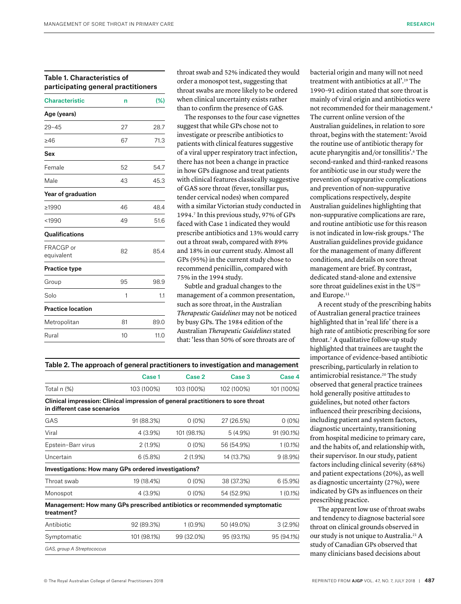# Table 1. Characteristics of participating general practitioners

| <b>Characteristic</b>    | n  | $(\%)$ |
|--------------------------|----|--------|
| Age (years)              |    |        |
| $29 - 45$                | 27 | 28.7   |
| >46                      | 67 | 71.3   |
| Sex                      |    |        |
| Female                   | 52 | 54.7   |
| Male                     | 43 | 45.3   |
| Year of graduation       |    |        |
| ≥1990                    | 46 | 48.4   |
| $1990$                   | 49 | 51.6   |
| Qualifications           |    |        |
| FRACGP or<br>equivalent  | 82 | 85.4   |
| Practice type            |    |        |
| Group                    | 95 | 98.9   |
| Solo                     | 1  | 1.1    |
| <b>Practice location</b> |    |        |
| Metropolitan             | 81 | 89.0   |
| Rural                    | 10 | 11.0   |
|                          |    |        |

throat swab and 52% indicated they would order a monospot test, suggesting that throat swabs are more likely to be ordered when clinical uncertainty exists rather than to confirm the presence of GAS.

The responses to the four case vignettes suggest that while GPs chose not to investigate or prescribe antibiotics to patients with clinical features suggestive of a viral upper respiratory tract infection, there has not been a change in practice in how GPs diagnose and treat patients with clinical features classically suggestive of GAS sore throat (fever, tonsillar pus, tender cervical nodes) when compared with a similar Victorian study conducted in 1994. 7 In this previous study, 97% of GPs faced with Case 1 indicated they would prescribe antibiotics and 13% would carry out a throat swab, compared with 89% and 18% in our current study. Almost all GPs (95%) in the current study chose to recommend penicillin, compared with 75% in the 1994 study.

Subtle and gradual changes to the management of a common presentation, such as sore throat, in the Australian *Therapeutic Guidelines* may not be noticed by busy GPs. The 1984 edition of the Australian *Therapeutic Guidelines* stated that: 'less than 50% of sore throats are of

Case 1 Case 2 Case 3 Case 4 Total n (%) 103 (100%) 103 (100%) 102 (100%) 101 (100%) Clinical impression: Clinical impression of general practitioners to sore throat in different case scenarios GAS 91 (88.3%) 0 (0%) 27 (26.5%) 0 (0%) Viral 4 (3.9%) 101 (98.1%) 5 (4.9%) 91 (90.1%) Epstein–Barr virus 2 (1.9%) 0 (0%) 56 (54.9%) 1 (0.1%) Uncertain 6 (5.8%) 2 (1.9%) 14 (13.7%) 9 (8.9%) Investigations: How many GPs ordered investigations? Throat swab 19 (18.4%) 0 (0%) 38 (37.3%) 6 (5.9%) Monospot 4 (3.9%) 0 (0%) 54 (52.9%) 1 (0.1%) Management: How many GPs prescribed antibiotics or recommended symptomatic treatment? Antibiotic 3 (2.9%) 92 (89.3%) 1 (0.9%) 50 (49.0%) 3 (2.9%) Symptomatic 101 (98.1%) 99 (32.0%) 95 (93.1%) 95 (94.1%) *GAS, group A Streptococcus*

Table 2. The approach of general practitioners to investigation and management

bacterial origin and many will not need treatment with antibiotics at all'.19 The 1990–91 edition stated that sore throat is mainly of viral origin and antibiotics were not recommended for their management.<sup>4</sup> The current online version of the Australian guidelines, in relation to sore throat, begins with the statement: 'Avoid the routine use of antibiotic therapy for acute pharyngitis and/or tonsillitis'.6 The second-ranked and third-ranked reasons for antibiotic use in our study were the prevention of suppurative complications and prevention of non-suppurative complications respectively, despite Australian guidelines highlighting that non-suppurative complications are rare, and routine antibiotic use for this reason is not indicated in low-risk groups.6 The Australian guidelines provide guidance for the management of many different conditions, and details on sore throat management are brief. By contrast, dedicated stand-alone and extensive sore throat guidelines exist in the US<sup>10</sup> and Europe.<sup>11</sup>

A recent study of the prescribing habits of Australian general practice trainees highlighted that in 'real life' there is a high rate of antibiotic prescribing for sore throat.7 A qualitative follow-up study highlighted that trainees are taught the importance of evidence-based antibiotic prescribing, particularly in relation to antimicrobial resistance.<sup>20</sup> The study observed that general practice trainees hold generally positive attitudes to guidelines, but noted other factors influenced their prescribing decisions, including patient and system factors, diagnostic uncertainty, transitioning from hospital medicine to primary care, and the habits of, and relationship with, their supervisor. In our study, patient factors including clinical severity (68%) and patient expectations (20%), as well as diagnostic uncertainty (27%), were indicated by GPs as influences on their prescribing practice.

The apparent low use of throat swabs and tendency to diagnose bacterial sore throat on clinical grounds observed in our study is not unique to Australia.<sup>21</sup> A study of Canadian GPs observed that many clinicians based decisions about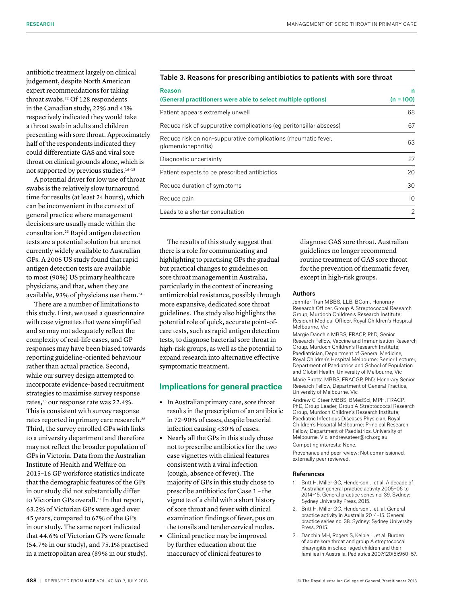antibiotic treatment largely on clinical judgement, despite North American expert recommendations for taking throat swabs.22 Of 128 respondents in the Canadian study, 22% and 41% respectively indicated they would take a throat swab in adults and children presenting with sore throat. Approximately half of the respondents indicated they could differentiate GAS and viral sore throat on clinical grounds alone, which is not supported by previous studies.16–18

A potential driver for low use of throat swabs is the relatively slow turnaround time for results (at least 24 hours), which can be inconvenient in the context of general practice where management decisions are usually made within the consultation.23 Rapid antigen detection tests are a potential solution but are not currently widely available to Australian GPs. A 2005 US study found that rapid antigen detection tests are available to most (90%) US primary healthcare physicians, and that, when they are available, 93% of physicians use them.24

There are a number of limitations to this study. First, we used a questionnaire with case vignettes that were simplified and so may not adequately reflect the complexity of real-life cases, and GP responses may have been biased towards reporting guideline-oriented behaviour rather than actual practice. Second, while our survey design attempted to incorporate evidence-based recruitment strategies to maximise survey response rates,25 our response rate was 22.4%. This is consistent with survey response rates reported in primary care research.26 Third, the survey enrolled GPs with links to a university department and therefore may not reflect the broader population of GPs in Victoria. Data from the Australian Institute of Health and Welfare on 2015–16 GP workforce statistics indicate that the demographic features of the GPs in our study did not substantially differ to Victorian GPs overall.<sup>27</sup> In that report, 63.2% of Victorian GPs were aged over 45 years, compared to 67% of the GPs in our study. The same report indicated that 44.6% of Victorian GPs were female (54.7% in our study), and 75.1% practised in a metropolitan area (89% in our study).

#### Table 3. Reasons for prescribing antibiotics to patients with sore throat

| <b>Reason</b>                                                                         | n               |
|---------------------------------------------------------------------------------------|-----------------|
| (General practitioners were able to select multiple options)                          | $(n = 100)$     |
| Patient appears extremely unwell                                                      | 68              |
| Reduce risk of suppurative complications (eg peritonsillar abscess)                   | 67              |
| Reduce risk on non-suppurative complications (rheumatic fever,<br>glomerulonephritis) | 63              |
| Diagnostic uncertainty                                                                | 27              |
| Patient expects to be prescribed antibiotics                                          | 20              |
| Reduce duration of symptoms                                                           | 30              |
| Reduce pain                                                                           | 10 <sup>1</sup> |
| Leads to a shorter consultation                                                       | 2               |

The results of this study suggest that there is a role for communicating and highlighting to practising GPs the gradual but practical changes to guidelines on sore throat management in Australia, particularly in the context of increasing antimicrobial resistance, possibly through more expansive, dedicated sore throat guidelines. The study also highlights the potential role of quick, accurate point-ofcare tests, such as rapid antigen detection tests, to diagnose bacterial sore throat in high-risk groups, as well as the potential to expand research into alternative effective symptomatic treatment.

# **Implications for general practice**

- **•** In Australian primary care, sore throat results in the prescription of an antibiotic in 72–90% of cases, despite bacterial infection causing <30% of cases.
- **•** Nearly all the GPs in this study chose not to prescribe antibiotics for the two case vignettes with clinical features consistent with a viral infection (cough, absence of fever). The majority of GPs in this study chose to prescribe antibiotics for Case 1 – the vignette of a child with a short history of sore throat and fever with clinical examination findings of fever, pus on the tonsils and tender cervical nodes.
- **•** Clinical practice may be improved by further education about the inaccuracy of clinical features to

diagnose GAS sore throat. Australian guidelines no longer recommend routine treatment of GAS sore throat for the prevention of rheumatic fever, except in high-risk groups.

## Authors

Jennifer Tran MBBS, LLB, BCom, Honorary Research Officer, Group A Streptococcal Research Group, Murdoch Children's Research Institute; Resident Medical Officer, Royal Children's Hospital Melbourne, Vic

Margie Danchin MBBS, FRACP, PhD, Senior Research Fellow, Vaccine and Immunisation Research Group, Murdoch Children's Research Institute; Paediatrician, Department of General Medicine, Royal Children's Hospital Melbourne; Senior Lecturer, Department of Paediatrics and School of Population and Global Health, University of Melbourne, Vic Marie Pirotta MBBS, FRACGP, PhD, Honorary Senior Research Fellow, Department of General Practice, University of Melbourne, Vic

Andrew C Steer MBBS, BMedSci, MPH, FRACP, PhD, Group Leader, Group A Streptococcal Research Group, Murdoch Children's Research Institute; Paediatric Infectious Diseases Physician, Royal Children's Hospital Melbourne; Principal Research Fellow, Department of Paediatrics, University of Melbourne, Vic. andrew.steer@rch.org.au

Competing interests: None.

Provenance and peer review: Not commissioned, externally peer reviewed.

## References

- 1. Britt H, Miller GC, Henderson J, et al. A decade of Australian general practice activity 2005–06 to 2014–15. General practice series no. 39. Sydney: Sydney University Press, 2015.
- 2. Britt H, Miller GC, Henderson J, et. al. General practice activity in Australia 2014–15. General practice series no. 38. Sydney: Sydney University Press, 2015.
- 3. Danchin MH, Rogers S, Kelpie L, et al. Burden of acute sore throat and group A streptococcal pharyngitis in school-aged children and their families in Australia. Pediatrics 2007;120(5):950–57.